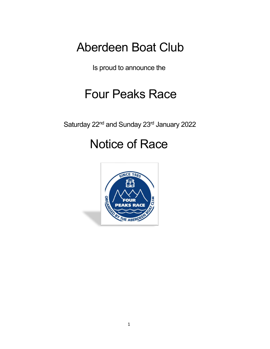# Aberdeen Boat Club

Is proud to announce the

# Four Peaks Race

Saturday 22<sup>nd</sup> and Sunday 23<sup>rd</sup> January 2022

# Notice of Race

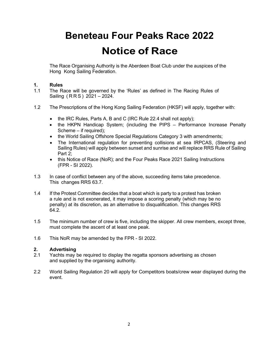# Beneteau Four Peaks Race 2022 Notice of Race

The Race Organising Authority is the Aberdeen Boat Club under the auspices of the Hong Kong Sailing Federation.

# 1. Rules

- 1.1 The Race will be governed by the 'Rules' as defined in The Racing Rules of Sailing ( R R S ) 2021 – 2024.
- 1.2 The Prescriptions of the Hong Kong Sailing Federation (HKSF) will apply, together with:
	- the IRC Rules, Parts A, B and C (IRC Rule 22.4 shall not apply);
	- the HKPN Handicap System; (including the PIPS Performance Increase Penalty Scheme – if required);
	- the World Sailing Offshore Special Regulations Category 3 with amendments;
	- The International regulation for preventing collisions at sea IRPCAS, (Steering and Sailing Rules) will apply between sunset and sunrise and will replace RRS Rule of Sailing Part 2;
	- this Notice of Race (NoR); and the Four Peaks Race 2021 Sailing Instructions (FPR - SI 2022).
- 1.3 In case of conflict between any of the above, succeeding items take precedence. This changes RRS 63.7.
- 1.4 If the Protest Committee decides that a boat which is party to a protest has broken a rule and is not exonerated, it may impose a scoring penalty (which may be no penalty) at its discretion, as an alternative to disqualification. This changes RRS 64.2.
- 1.5 The minimum number of crew is five, including the skipper. All crew members, except three, must complete the ascent of at least one peak.
- 1.6 This NoR may be amended by the FPR SI 2022.

# 2. Advertising

- 2.1 Yachts may be required to display the regatta sponsors advertising as chosen and supplied by the organising authority.
- 2.2 World Sailing Regulation 20 will apply for Competitors boats/crew wear displayed during the event.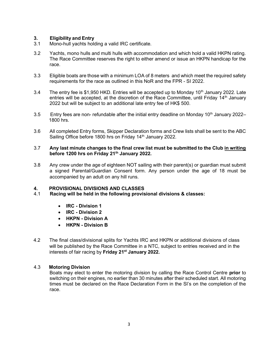# **3. Eligibility and Entry**<br>3.1 Mono-hull vachts hold

- Mono-hull yachts holding a valid IRC certificate.
- 3.2 Yachts, mono hulls and multi hulls with accommodation and which hold a valid HKPN rating. The Race Committee reserves the right to either amend or issue an HKPN handicap for the race.
- 3.3 Eligible boats are those with a minimum LOA of 8 meters and which meet the required safety requirements for the race as outlined in this NoR and the FPR - SI 2022.
- 3.4 The entry fee is \$1,950 HKD. Entries will be accepted up to Monday 10<sup>th</sup> January 2022. Late entries will be accepted, at the discretion of the Race Committee, until Friday  $14<sup>th</sup>$  January 2022 but will be subject to an additional late entry fee of HK\$ 500.
- 3.5 Entry fees are non- refundable after the initial entry deadline on Monday 10<sup>th</sup> January 2022– 1800 hrs.
- 3.6 All completed Entry forms, Skipper Declaration forms and Crew lists shall be sent to the ABC Sailing Office before 1800 hrs on Friday 14<sup>th</sup> January 2022.

#### 3.7 Any last minute changes to the final crew list must be submitted to the Club in writing before 1200 hrs on Friday 21<sup>th</sup> January 2022.

3.8 Any crew under the age of eighteen NOT sailing with their parent(s) or guardian must submit a signed Parental/Guardian Consent form. Any person under the age of 18 must be accompanied by an adult on any hill runs.

# 4. PROVISIONAL DIVISIONS AND CLASSES

- 4.1 Racing will be held in the following provisional divisions & classes:
	- IRC Division 1
	- IRC Division 2
	- HKPN Division A
	- HKPN Division B
- 4.2 The final class/divisional splits for Yachts IRC and HKPN or additional divisions of class will be published by the Race Committee in a NTC, subject to entries received and in the interests of fair racing by Friday 21<sup>st</sup> January 2022.

# 4.3 Motoring Division

Boats may elect to enter the motoring division by calling the Race Control Centre prior to switching on their engines, no earlier than 30 minutes after their scheduled start. All motoring times must be declared on the Race Declaration Form in the SI's on the completion of the race.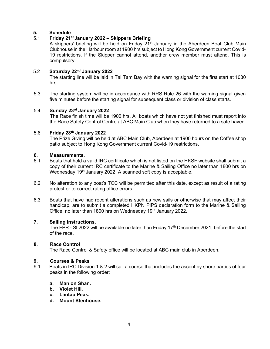#### 5. Schedule

# 5.1 Friday  $21^{st}$  January 2022 – Skippers Briefing

A skippers' briefing will be held on Friday  $21<sup>st</sup>$  January in the Aberdeen Boat Club Main Clubhouse in the Harbour room at 1900 hrs subject to Hong Kong Government current Covid-19 restrictions. If the Skipper cannot attend, another crew member must attend. This is compulsory.

#### 5.2 Saturday 22nd January 2022

 The starting line will be laid in Tai Tam Bay with the warning signal for the first start at 1030 hrs.

5.3 The starting system will be in accordance with RRS Rule 26 with the warning signal given five minutes before the starting signal for subsequent class or division of class starts.

#### 5.4 Sunday 23rd January 2022

 The Race finish time will be 1900 hrs. All boats which have not yet finished must report into the Race Safety Control Centre at ABC Main Club when they have returned to a safe haven.

#### 5.6 Friday 28th January 2022

The Prize Giving will be held at ABC Main Club, Aberdeen at 1900 hours on the Coffee shop patio subject to Hong Kong Government current Covid-19 restrictions.

#### 6. Measurements.

- 6.1 Boats that hold a valid IRC certificate which is not listed on the HKSF website shall submit a copy of their current IRC certificate to the Marine & Sailing Office no later than 1800 hrs on Wednesday 19<sup>th</sup> January 2022. A scanned soft copy is acceptable.
- 6.2 No alteration to any boat's TCC will be permitted after this date, except as result of a rating protest or to correct rating office errors.
- 6.3 Boats that have had recent alterations such as new sails or otherwise that may affect their handicap, are to submit a completed HKPN PIPS declaration form to the Marine & Sailing Office, no later than 1800 hrs on Wednesday 19<sup>th</sup> January 2022.

# 7. Sailing Instructions.

The FPR - SI 2022 will be available no later than Friday 17<sup>th</sup> December 2021, before the start of the race.

#### 8. Race Control

The Race Control & Safety office will be located at ABC main club in Aberdeen.

#### 9. Courses & Peaks

9.1 Boats in IRC Division 1 & 2 will sail a course that includes the ascent by shore parties of four peaks in the following order:

# a. Man on Shan.

- b. Violet Hill,
- c. Lantau Peak.
- d. Mount Stenhouse.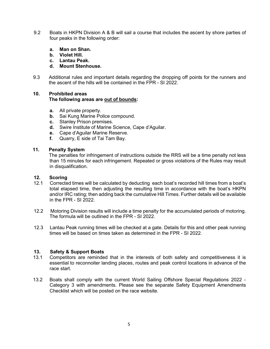- 9.2 Boats in HKPN Division A & B will sail a course that includes the ascent by shore parties of four peaks in the following order:
	- a. Man on Shan.
	- b. Violet Hill.
	- c. Lantau Peak.
	- d. Mount Stenhouse.
- 9.3 Additional rules and important details regarding the dropping off points for the runners and the ascent of the hills will be contained in the FPR - SI 2022.

# 10. Prohibited areas The following areas are out of bounds:

- a. All private property.
- **b.** Sai Kung Marine Police compound.
- c. Stanley Prison premises.
- d. Swire Institute of Marine Science, Cape d'Aguilar.
- e. Cape d'Aguilar Marine Reserve.
- f. Quarry, E side of Tai Tam Bay.

#### 11. Penalty System

 The penalties for infringement of instructions outside the RRS will be a time penalty not less than 15 minutes for each infringement. Repeated or gross violations of the Rules may result in disqualification.

#### 12. Scoring

- 12.1 Corrected times will be calculated by deducting each boat's recorded hill times from a boat's total elapsed time, then adjusting the resulting time in accordance with the boat's HKPN and/or IRC rating; then adding back the cumulative Hill Times. Further details will be available in the FPR - SI 2022.
- 12.2 Motoring Division results will include a time penalty for the accumulated periods of motoring. The formula will be outlined in the FPR - SI 2022.
- 12.3 Lantau Peak running times will be checked at a gate. Details for this and other peak running times will be based on times taken as determined in the FPR - SI 2022.

# 13. Safety & Support Boats

- 13.1 Competitors are reminded that in the interests of both safety and competitiveness it is essential to reconnoiter landing places, routes and peak control locations in advance of the race start.
- 13.2 Boats shall comply with the current World Sailing Offshore Special Regulations 2022 Category 3 with amendments. Please see the separate Safety Equipment Amendments Checklist which will be posted on the race website.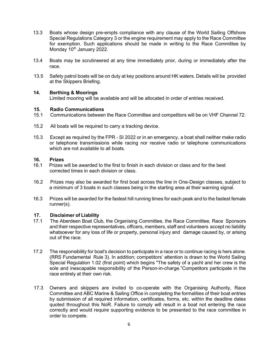- 13.3 Boats whose design pre-empts compliance with any clause of the World Sailing Offshore Special Regulations Category 3 or the engine requirement may apply to the Race Committee for exemption. Such applications should be made in writing to the Race Committee by Monday  $10^{th}$  January 2022.
- 13.4 Boats may be scrutineered at any time immediately prior, during or immediately after the race.
- 13.5 Safety patrol boats will be on duty at key positions around HK waters. Details will be provided at the Skippers Briefing.

# 14. Berthing & Moorings

Limited mooring will be available and will be allocated in order of entries received.

#### 15. Radio Communications

- 15.1 Communications between the Race Committee and competitors will be on VHF Channel 72.
- 15.2 All boats will be required to carry a tracking device.
- 15.3 Except as required by the FPR SI 2022 or in an emergency, a boat shall neither make radio or telephone transmissions while racing nor receive radio or telephone communications which are not available to all boats.

#### 16. Prizes

- 16.1 Prizes will be awarded to the first to finish in each division or class and for the best corrected times in each division or class.
- 16.2 Prizes may also be awarded for first boat across the line in One-Design classes, subject to a minimum of 3 boats in such classes being in the starting area at their warning signal.
- 16.3 Prizes will be awarded for the fastest hill running times for each peak and to the fastest female runner(s).

#### 17. Disclaimer of Liability

- 17.1 The Aberdeen Boat Club, the Organising Committee, the Race Committee, Race Sponsors and their respective representatives, officers, members, staff and volunteers accept no liability whatsoever for any loss of life or property, personal injury and damage caused by, or arising out of the race.
- 17.2 The responsibility for boat's decision to participate in a race or to continue racing is hers alone. (RRS Fundamental Rule 3). In addition; competitors' attention is drawn to the World Sailing Special Regulation 1.02 (first point) which begins "The safety of a yacht and her crew is the sole and inescapable responsibility of the Person-in-charge."Competitors participate in the race entirely at their own risk.
- 17.3 Owners and skippers are invited to co-operate with the Organising Authority, Race Committee and ABC Marine & Sailing Office in completing the formalities of their boat entries by submission of all required information, certificates, forms, etc. within the deadline dates quoted throughout this NoR. Failure to comply will result in a boat not entering the race correctly and would require supporting evidence to be presented to the race committee in order to compete.